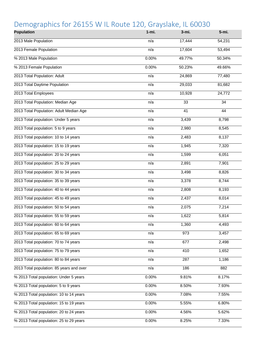## Demographics for 26155 W IL Route 120, Grayslake, IL 60030

| <b>Population</b>                        | $1 - mi.$ | 3-mi.           | 5-mi.  |
|------------------------------------------|-----------|-----------------|--------|
| 2013 Male Population                     | n/a       | 17,444          | 54,231 |
| 2013 Female Population                   | n/a       | 17,604          | 53,494 |
| % 2013 Male Population                   | 0.00%     | 49.77%          | 50.34% |
| % 2013 Female Population                 | 0.00%     | 50.23%          | 49.66% |
| 2013 Total Population: Adult             | n/a       | 24,869          | 77,480 |
| 2013 Total Daytime Population            | n/a       | 29,033          | 81,682 |
| 2013 Total Employees                     | n/a       | 10,928          | 24,772 |
| 2013 Total Population: Median Age        | n/a       | 33              | 34     |
| 2013 Total Population: Adult Median Age  | n/a       | $\overline{41}$ | 44     |
| 2013 Total population: Under 5 years     | n/a       | 3,439           | 8,798  |
| 2013 Total population: 5 to 9 years      | n/a       | 2,980           | 8,545  |
| 2013 Total population: 10 to 14 years    | n/a       | 2,483           | 8,137  |
| 2013 Total population: 15 to 19 years    | n/a       | 1,945           | 7,320  |
| 2013 Total population: 20 to 24 years    | n/a       | 1,599           | 6,051  |
| 2013 Total population: 25 to 29 years    | n/a       | 2,891           | 7,901  |
| 2013 Total population: 30 to 34 years    | n/a       | 3,498           | 8,826  |
| 2013 Total population: 35 to 39 years    | n/a       | 3,378           | 8,744  |
| 2013 Total population: 40 to 44 years    | n/a       | 2,808           | 8,193  |
| 2013 Total population: 45 to 49 years    | n/a       | 2,437           | 8,014  |
| 2013 Total population: 50 to 54 years    | n/a       | 2,075           | 7,214  |
| 2013 Total population: 55 to 59 years    | n/a       | 1,622           | 5,814  |
| 2013 Total population: 60 to 64 years    | n/a       | 1,360           | 4,493  |
| 2013 Total population: 65 to 69 years    | n/a       | 973             | 3,457  |
| 2013 Total population: 70 to 74 years    | n/a       | 677             | 2,498  |
| 2013 Total population: 75 to 79 years    | n/a       | 410             | 1,652  |
| 2013 Total population: 80 to 84 years    | n/a       | 287             | 1,186  |
| 2013 Total population: 85 years and over | n/a       | 186             | 882    |
| % 2013 Total population: Under 5 years   | 0.00%     | 9.81%           | 8.17%  |
| % 2013 Total population: 5 to 9 years    | 0.00%     | 8.50%           | 7.93%  |
| % 2013 Total population: 10 to 14 years  | 0.00%     | 7.08%           | 7.55%  |
| % 2013 Total population: 15 to 19 years  | 0.00%     | 5.55%           | 6.80%  |
| % 2013 Total population: 20 to 24 years  | 0.00%     | 4.56%           | 5.62%  |
| % 2013 Total population: 25 to 29 years  | 0.00%     | 8.25%           | 7.33%  |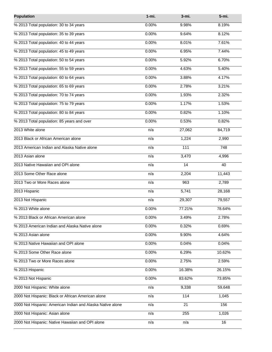| <b>Population</b>                                          | $1 - mi.$ | 3-mi.  | 5-mi.  |
|------------------------------------------------------------|-----------|--------|--------|
| % 2013 Total population: 30 to 34 years                    | 0.00%     | 9.98%  | 8.19%  |
| % 2013 Total population: 35 to 39 years                    | 0.00%     | 9.64%  | 8.12%  |
| % 2013 Total population: 40 to 44 years                    | 0.00%     | 8.01%  | 7.61%  |
| % 2013 Total population: 45 to 49 years                    | 0.00%     | 6.95%  | 7.44%  |
| % 2013 Total population: 50 to 54 years                    | 0.00%     | 5.92%  | 6.70%  |
| % 2013 Total population: 55 to 59 years                    | 0.00%     | 4.63%  | 5.40%  |
| % 2013 Total population: 60 to 64 years                    | 0.00%     | 3.88%  | 4.17%  |
| % 2013 Total population: 65 to 69 years                    | 0.00%     | 2.78%  | 3.21%  |
| % 2013 Total population: 70 to 74 years                    | 0.00%     | 1.93%  | 2.32%  |
| % 2013 Total population: 75 to 79 years                    | 0.00%     | 1.17%  | 1.53%  |
| % 2013 Total population: 80 to 84 years                    | 0.00%     | 0.82%  | 1.10%  |
| % 2013 Total population: 85 years and over                 | 0.00%     | 0.53%  | 0.82%  |
| 2013 White alone                                           | n/a       | 27,062 | 84,719 |
| 2013 Black or African American alone                       | n/a       | 1,224  | 2,990  |
| 2013 American Indian and Alaska Native alone               | n/a       | 111    | 748    |
| 2013 Asian alone                                           | n/a       | 3,470  | 4,996  |
| 2013 Native Hawaiian and OPI alone                         | n/a       | 14     | 40     |
| 2013 Some Other Race alone                                 | n/a       | 2,204  | 11,443 |
| 2013 Two or More Races alone                               | n/a       | 963    | 2,789  |
| 2013 Hispanic                                              | n/a       | 5,741  | 28,168 |
| 2013 Not Hispanic                                          | n/a       | 29,307 | 79,557 |
| % 2013 White alone                                         | 0.00%     | 77.21% | 78.64% |
| % 2013 Black or African American alone                     | 0.00%     | 3.49%  | 2.78%  |
| % 2013 American Indian and Alaska Native alone             | 0.00%     | 0.32%  | 0.69%  |
| % 2013 Asian alone                                         | 0.00%     | 9.90%  | 4.64%  |
| % 2013 Native Hawaiian and OPI alone                       | 0.00%     | 0.04%  | 0.04%  |
| % 2013 Some Other Race alone                               | 0.00%     | 6.29%  | 10.62% |
| % 2013 Two or More Races alone                             | 0.00%     | 2.75%  | 2.59%  |
| % 2013 Hispanic                                            | 0.00%     | 16.38% | 26.15% |
| % 2013 Not Hispanic                                        | 0.00%     | 83.62% | 73.85% |
| 2000 Not Hispanic: White alone                             | n/a       | 9,338  | 59,648 |
| 2000 Not Hispanic: Black or African American alone         | n/a       | 114    | 1,045  |
| 2000 Not Hispanic: American Indian and Alaska Native alone | n/a       | 21     | 156    |
| 2000 Not Hispanic: Asian alone                             | n/a       | 255    | 1,026  |
| 2000 Not Hispanic: Native Hawaiian and OPI alone           | n/a       | n/a    | 16     |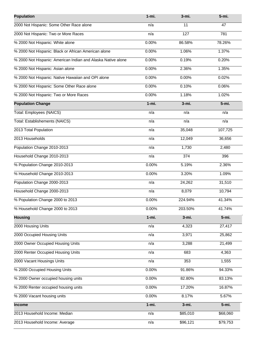| <b>Population</b>                                            | $1 - mi.$ | 3-mi.    | 5-mi.    |
|--------------------------------------------------------------|-----------|----------|----------|
| 2000 Not Hispanic: Some Other Race alone                     | n/a       | 11       | 47       |
| 2000 Not Hispanic: Two or More Races                         | n/a       | 127      | 781      |
| % 2000 Not Hispanic: White alone                             | 0.00%     | 86.58%   | 78.26%   |
| % 2000 Not Hispanic: Black or African American alone         | 0.00%     | 1.06%    | 1.37%    |
| % 2000 Not Hispanic: American Indian and Alaska Native alone | 0.00%     | 0.19%    | 0.20%    |
| % 2000 Not Hispanic: Asian alone                             | 0.00%     | 2.36%    | 1.35%    |
| % 2000 Not Hispanic: Native Hawaiian and OPI alone           | 0.00%     | 0.00%    | 0.02%    |
| % 2000 Not Hispanic: Some Other Race alone                   | 0.00%     | 0.10%    | 0.06%    |
| % 2000 Not Hispanic: Two or More Races                       | 0.00%     | 1.18%    | 1.02%    |
| <b>Population Change</b>                                     | $1 - mi.$ | 3-mi.    | 5-mi.    |
| Total: Employees (NAICS)                                     | n/a       | n/a      | n/a      |
| Total: Establishements (NAICS)                               | n/a       | n/a      | n/a      |
| 2013 Total Population                                        | n/a       | 35,048   | 107,725  |
| 2013 Households                                              | n/a       | 12,049   | 36,656   |
| Population Change 2010-2013                                  | n/a       | 1,730    | 2,480    |
| Household Change 2010-2013                                   | n/a       | 374      | 396      |
| % Population Change 2010-2013                                | 0.00%     | 5.19%    | 2.36%    |
| % Household Change 2010-2013                                 | 0.00%     | 3.20%    | 1.09%    |
| Population Change 2000-2013                                  | n/a       | 24,262   | 31,510   |
| Household Change 2000-2013                                   | n/a       | 8,079    | 10,794   |
| % Population Change 2000 to 2013                             | 0.00%     | 224.94%  | 41.34%   |
| % Household Change 2000 to 2013                              | 0.00%     | 203.50%  | 41.74%   |
| <b>Housing</b>                                               | $1 - mi.$ | 3-mi.    | 5-mi.    |
| 2000 Housing Units                                           | n/a       | 4,323    | 27,417   |
| 2000 Occupied Housing Units                                  | n/a       | 3,971    | 25,862   |
| 2000 Owner Occupied Housing Units                            | n/a       | 3,288    | 21,499   |
| 2000 Renter Occupied Housing Units                           | n/a       | 683      | 4,363    |
| 2000 Vacant Housings Units                                   | n/a       | 353      | 1,555    |
| % 2000 Occupied Housing Units                                | 0.00%     | 91.86%   | 94.33%   |
| % 2000 Owner occupied housing units                          | 0.00%     | 82.80%   | 83.13%   |
| % 2000 Renter occupied housing units                         | 0.00%     | 17.20%   | 16.87%   |
| % 2000 Vacant housing units                                  | 0.00%     | 8.17%    | 5.67%    |
| <b>Income</b>                                                | $1 - mi.$ | 3-mi.    | 5-mi.    |
| 2013 Household Income: Median                                | n/a       | \$85,010 | \$68,060 |
| 2013 Household Income: Average                               | n/a       | \$96,121 | \$79,753 |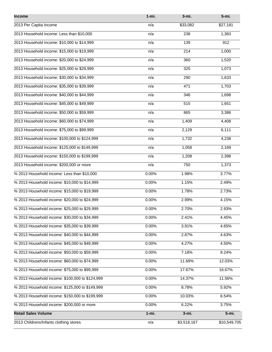| <b>Income</b>                                   | $1 - mi.$ | 3-mi.       | 5-mi.        |
|-------------------------------------------------|-----------|-------------|--------------|
| 2013 Per Capita Income                          | n/a       | \$33,082    | \$27,181     |
| 2013 Household income: Less than \$10,000       | n/a       | 238         | 1,383        |
| 2013 Household income: \$10,000 to \$14,999     | n/a       | 139         | 912          |
| 2013 Household income: \$15,000 to \$19,999     | n/a       | 214         | 1,000        |
| 2013 Household income: \$20,000 to \$24,999     | n/a       | 360         | 1,520        |
| 2013 Household income: \$25,000 to \$29,999     | n/a       | 325         | 1,073        |
| 2013 Household income: \$30,000 to \$34,999     | n/a       | 290         | 1,633        |
| 2013 Household income: \$35,000 to \$39,999     | n/a       | 471         | 1,703        |
| 2013 Household income: \$40,000 to \$44,999     | n/a       | 346         | 1,698        |
| 2013 Household income: \$45,000 to \$49,999     | n/a       | 515         | 1,651        |
| 2013 Household income: \$50,000 to \$59,999     | n/a       | 865         | 3,386        |
| 2013 Household income: \$60,000 to \$74,999     | n/a       | 1,409       | 4,408        |
| 2013 Household income: \$75,000 to \$99,999     | n/a       | 2,129       | 6,111        |
| 2013 Household income: \$100,000 to \$124,999   | n/a       | 1,732       | 4,238        |
| 2013 Household income: \$125,000 to \$149,999   | n/a       | 1,058       | 2,169        |
| 2013 Household income: \$150,000 to \$199,999   | n/a       | 1,208       | 2,398        |
| 2013 Household income: \$200,000 or more        | n/a       | 750         | 1,373        |
| % 2013 Household income: Less than \$10,000     | 0.00%     | 1.98%       | 3.77%        |
| % 2013 Household income: \$10,000 to \$14,999   | 0.00%     | 1.15%       | 2.49%        |
| % 2013 Household income: \$15,000 to \$19,999   | 0.00%     | 1.78%       | 2.73%        |
| % 2013 Household income: \$20,000 to \$24,999   | 0.00%     | 2.99%       | 4.15%        |
| % 2013 Household income: \$25,000 to \$29,999   | 0.00%     | 2.70%       | 2.93%        |
| % 2013 Household income: \$30,000 to \$34,999   | 0.00%     | 2.41%       | 4.45%        |
| % 2013 Household income: \$35,000 to \$39,999   | 0.00%     | 3.91%       | 4.65%        |
| % 2013 Household income: \$40,000 to \$44,999   | 0.00%     | 2.87%       | 4.63%        |
| % 2013 Household income: \$45,000 to \$49,999   | 0.00%     | 4.27%       | 4.50%        |
| % 2013 Household income: \$50,000 to \$59,999   | 0.00%     | 7.18%       | 9.24%        |
| % 2013 Household income: \$60,000 to \$74,999   | 0.00%     | 11.69%      | 12.03%       |
| % 2013 Household income: \$75,000 to \$99,999   | 0.00%     | 17.67%      | 16.67%       |
| % 2013 Household income: \$100,000 to \$124,999 | 0.00%     | 14.37%      | 11.56%       |
| % 2013 Household income: \$125,000 to \$149,999 | 0.00%     | 8.78%       | 5.92%        |
| % 2013 Household income: \$150,000 to \$199,999 | 0.00%     | 10.03%      | 6.54%        |
| % 2013 Household income: \$200,000 or more      | 0.00%     | 6.22%       | 3.75%        |
| <b>Retail Sales Volume</b>                      | $1 - mi.$ | 3-mi.       | 5-mi.        |
| 2013 Childrens/Infants clothing stores          | n/a       | \$3,518,167 | \$10,549,705 |